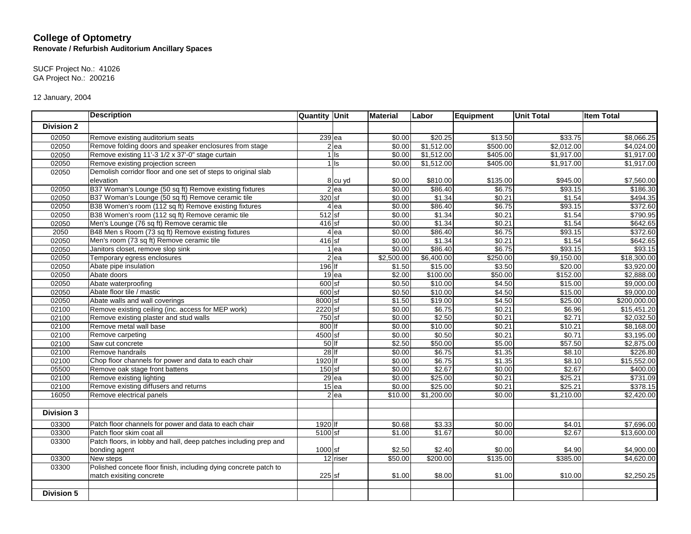## **College of Optometry Renovate / Refurbish Auditorium Ancillary Spaces**

SUCF Project No.: 41026 GA Project No.: 200216

12 January, 2004

|                   | <b>Description</b>                                               | <b>Quantity Unit</b> |                   | <b>Material</b> | Labor      | Equipment | <b>Unit Total</b> | <b>Item Total</b> |
|-------------------|------------------------------------------------------------------|----------------------|-------------------|-----------------|------------|-----------|-------------------|-------------------|
| <b>Division 2</b> |                                                                  |                      |                   |                 |            |           |                   |                   |
| 02050             | Remove existing auditorium seats                                 |                      | $239$ ea          | \$0.00          | \$20.25    | \$13.50   | \$33.75           | \$8,066.25        |
| 02050             | Remove folding doors and speaker enclosures from stage           |                      | $2$ ea            | \$0.00          | \$1,512.00 | \$500.00  | \$2,012.00        | \$4,024.00        |
| 02050             | Remove existing 11'-3 1/2 x 37'-0" stage curtain                 |                      | $1$ Is            | \$0.00          | \$1,512.00 | \$405.00  | \$1,917.00        | \$1,917.00        |
| 02050             | Remove existing projection screen                                |                      | $1$ Is            | \$0.00          | \$1,512.00 | \$405.00  | \$1,917.00        | \$1,917.00        |
| 02050             | Demolish corridor floor and one set of steps to original slab    |                      |                   |                 |            |           |                   |                   |
|                   | elevation                                                        |                      | 8 cu yd           | \$0.00          | \$810.00   | \$135.00  | \$945.00          | \$7,560.00        |
| 02050             | B37 Woman's Lounge (50 sq ft) Remove existing fixtures           |                      | $\overline{2}$ ea | \$0.00          | \$86.40    | \$6.75    | \$93.15           | \$186.30          |
| 02050             | B37 Woman's Lounge (50 sq ft) Remove ceramic tile                | 320 sf               |                   | \$0.00          | \$1.34     | \$0.21    | \$1.54            | \$494.35          |
| 02050             | B38 Women's room (112 sq ft) Remove existing fixtures            |                      | 4 ea              | \$0.00          | \$86.40    | \$6.75    | \$93.15           | \$372.60          |
| 02050             | B38 Women's room (112 sq ft) Remove ceramic tile                 | $512$ sf             |                   | \$0.00          | \$1.34     | \$0.21    | \$1.54            | \$790.95          |
| 02050             | Men's Lounge (76 sq ft) Remove ceramic tile                      | $416$ sf             |                   | \$0.00          | \$1.34     | \$0.21    | \$1.54            | \$642.65          |
| 2050              | B48 Men s Room (73 sq ft) Remove existing fixtures               |                      | 4 ea              | \$0.00          | \$86.40    | \$6.75    | \$93.15           | \$372.60          |
| 02050             | Men's room (73 sq ft) Remove ceramic tile                        | $416$ sf             |                   | \$0.00          | \$1.34     | \$0.21    | \$1.54            | \$642.65          |
| 02050             | Janitors closet, remove slop sink                                |                      | $1$ ea            | \$0.00          | \$86.40    | \$6.75    | \$93.15           | \$93.15           |
| 02050             | Temporary egress enclosures                                      |                      | $2$ ea            | \$2,500.00      | \$6,400.00 | \$250.00  | \$9,150.00        | \$18,300.00       |
| 02050             | Abate pipe insulation                                            | 196 If               |                   | \$1.50          | \$15.00    | \$3.50    | \$20.00           | \$3,920.00        |
| 02050             | Abate doors                                                      |                      | 19 ea             | \$2.00          | \$100.00   | \$50.00   | \$152.00          | \$2,888.00        |
| 02050             | Abate waterproofing                                              | $600$ sf             |                   | \$0.50          | \$10.00    | \$4.50    | \$15.00           | \$9,000.00        |
| 02050             | Abate floor tile / mastic                                        | $600$ sf             |                   | \$0.50          | \$10.00    | \$4.50    | \$15.00           | \$9,000.00        |
| 02050             | Abate walls and wall coverings                                   | 8000 sf              |                   | \$1.50          | \$19.00    | \$4.50    | \$25.00           | \$200,000.00      |
| 02100             | Remove existing ceiling (inc. access for MEP work)               | 2220 sf              |                   | \$0.00          | \$6.75     | \$0.21    | \$6.96            | \$15,451.20       |
| 02100             | Remove existing plaster and stud walls                           | $750$ sf             |                   | \$0.00          | \$2.50     | \$0.21    | \$2.71            | \$2,032.50        |
| 02100             | Remove metal wall base                                           | 800 lf               |                   | \$0.00          | \$10.00    | \$0.21    | \$10.21           | \$8,168.00        |
| 02100             | Remove carpeting                                                 | 4500 sf              |                   | \$0.00          | \$0.50     | \$0.21    | \$0.71            | \$3,195.00        |
| 02100             | Saw cut concrete                                                 | $50$ If              |                   | \$2.50          | \$50.00    | \$5.00    | \$57.50           | \$2,875.00        |
| 02100             | Remove handrails                                                 | 28 If                |                   | \$0.00          | \$6.75     | \$1.35    | \$8.10            | \$226.80          |
| 02100             | Chop floor channels for power and data to each chair             | 1920 lf              |                   | \$0.00          | \$6.75     | \$1.35    | \$8.10            | \$15,552.00       |
| 05500             | Remove oak stage front battens                                   | $150$ sf             |                   | \$0.00          | \$2.67     | \$0.00    | \$2.67            | \$400.00          |
| 02100             | Remove existing lighting                                         |                      | 29 ea             | \$0.00          | \$25.00    | \$0.21    | \$25.21           | \$731.09          |
| 02100             | Remove existing diffusers and returns                            |                      | $15$ ea           | \$0.00          | \$25.00    | \$0.21    | \$25.21           | \$378.15          |
| 16050             | Remove electrical panels                                         |                      | $2$ ea            | \$10.00         | \$1,200.00 | \$0.00    | \$1,210.00        | \$2,420.00        |
|                   |                                                                  |                      |                   |                 |            |           |                   |                   |
| <b>Division 3</b> |                                                                  |                      |                   |                 |            |           |                   |                   |
| 03300             | Patch floor channels for power and data to each chair            | 1920 lf              |                   | \$0.68          | \$3.33     | \$0.00    | \$4.01            | \$7,696.00        |
| 03300             | Patch floor skim coat all                                        | 5100 sf              |                   | \$1.00          | \$1.67     | \$0.00    | \$2.67            | \$13,600.00       |
| 03300             | Patch floors, in lobby and hall, deep patches including prep and |                      |                   |                 |            |           |                   |                   |
|                   | bonding agent                                                    | 1000 sf              |                   | \$2.50          | \$2.40     | \$0.00    | \$4.90            | \$4,900.00        |
| 03300             | New steps                                                        |                      | 12 riser          | \$50.00         | \$200.00   | \$135.00  | \$385.00          | \$4,620.00        |
| 03300             | Polished concete floor finish, including dying concrete patch to |                      |                   |                 |            |           |                   |                   |
|                   | match exisiting concrete                                         | 225 sf               |                   | \$1.00          | \$8.00     | \$1.00    | \$10.00           | \$2,250.25        |
|                   |                                                                  |                      |                   |                 |            |           |                   |                   |
| <b>Division 5</b> |                                                                  |                      |                   |                 |            |           |                   |                   |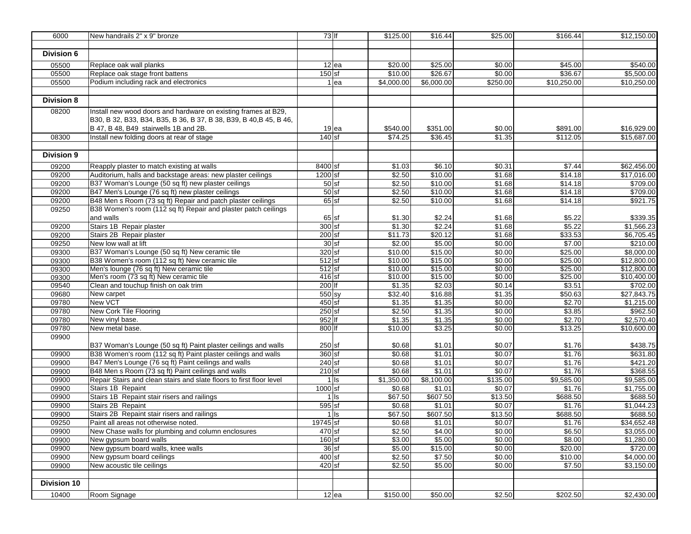| 6000               | New handrails 2" x 9" bronze                                         | 73 lf     |         | \$125.00   | \$16.44    | \$25.00  | \$166.44    | \$12,150.00 |
|--------------------|----------------------------------------------------------------------|-----------|---------|------------|------------|----------|-------------|-------------|
|                    |                                                                      |           |         |            |            |          |             |             |
| Division 6         |                                                                      |           |         |            |            |          |             |             |
| 05500              | Replace oak wall planks                                              |           | $12$ ea | \$20.00    | \$25.00    | \$0.00   | \$45.00     | \$540.00    |
| 05500              | Replace oak stage front battens                                      | $150$ sf  |         | \$10.00    | \$26.67    | \$0.00   | \$36.67     | \$5,500.00  |
| 05500              | Podium including rack and electronics                                |           | $1$ ea  | \$4,000.00 | \$6,000.00 | \$250.00 | \$10,250.00 | \$10,250.00 |
|                    |                                                                      |           |         |            |            |          |             |             |
| <b>Division 8</b>  |                                                                      |           |         |            |            |          |             |             |
| 08200              | Install new wood doors and hardware on existing frames at B29,       |           |         |            |            |          |             |             |
|                    | B30, B 32, B33, B34, B35, B 36, B 37, B 38, B39, B 40, B 45, B 46,   |           |         |            |            |          |             |             |
|                    | B 47, B 48, B49 stairwells 1B and 2B.                                |           | $19$ ea | \$540.00   | \$351.00   | \$0.00   | \$891.00    | \$16,929.00 |
| 08300              | Install new folding doors at rear of stage                           | $140$ sf  |         | \$74.25    | \$36.45    | \$1.35   | \$112.05    | \$15,687.00 |
|                    |                                                                      |           |         |            |            |          |             |             |
| <b>Division 9</b>  |                                                                      |           |         |            |            |          |             |             |
| 09200              | Reapply plaster to match existing at walls                           | 8400 sf   |         | \$1.03     | \$6.10     | \$0.31   | \$7.44      | \$62,456.00 |
| 09200              | Auditorium, halls and backstage areas: new plaster ceilings          | 1200 sf   |         | \$2.50     | \$10.00    | \$1.68   | \$14.18     | \$17,016.00 |
| 09200              | B37 Woman's Lounge (50 sq ft) new plaster ceilings                   | $50$ sf   |         | \$2.50     | \$10.00    | \$1.68   | \$14.18     | \$709.00    |
| 09200              | B47 Men's Lounge (76 sq ft) new plaster ceilings                     | $50$ sf   |         | \$2.50     | \$10.00    | \$1.68   | \$14.18     | \$709.00    |
| 09200              | B48 Men s Room (73 sq ft) Repair and patch plaster ceilings          | $65$ sf   |         | \$2.50     | \$10.00    | \$1.68   | \$14.18     | \$921.75    |
| 09250              | B38 Women's room (112 sq ft) Repair and plaster patch ceilings       |           |         |            |            |          |             |             |
|                    | and walls                                                            | $65$ sf   |         | \$1.30     | \$2.24     | \$1.68   | \$5.22      | \$339.35    |
| 09200              | Stairs 1B Repair plaster                                             | $300$ sf  |         | \$1.30     | \$2.24     | \$1.68   | \$5.22      | \$1,566.23  |
| 09200              | Stairs 2B Repair plaster                                             | $200$ sf  |         | \$11.73    | \$20.12    | \$1.68   | \$33.53     | \$6,705.45  |
| 09250              | New low wall at lift                                                 | $30$ sf   |         | \$2.00     | \$5.00     | \$0.00   | \$7.00      | \$210.00    |
| 09300              | B37 Woman's Lounge (50 sq ft) New ceramic tile                       | $320$ sf  |         | \$10.00    | \$15.00    | \$0.00   | \$25.00     | \$8,000.00  |
| 09300              | B38 Women's room (112 sq ft) New ceramic tile                        | $512$ sf  |         | \$10.00    | \$15.00    | \$0.00   | \$25.00     | \$12,800.00 |
| 09300              | Men's lounge (76 sq ft) New ceramic tile                             | $512$ sf  |         | \$10.00    | \$15.00    | \$0.00   | \$25.00     | \$12,800.00 |
| 09300              | Men's room (73 sq ft) New ceramic tile                               | $416$ sf  |         | \$10.00    | \$15.00    | \$0.00   | \$25.00     | \$10,400.00 |
| 09540              | Clean and touchup finish on oak trim                                 | $200$ If  |         | \$1.35     | \$2.03     | \$0.14   | \$3.51      | \$702.00    |
| 09680              | New carpet                                                           | $550$ sy  |         | \$32.40    | \$16.88    | \$1.35   | \$50.63     | \$27,843.75 |
| 09780              | New VCT                                                              | $450$ sf  |         | \$1.35     | \$1.35     | \$0.00   | \$2.70      | \$1,215.00  |
| 09780              | New Cork Tile Flooring                                               | $250$ sf  |         | \$2.50     | \$1.35     | \$0.00   | \$3.85      | \$962.50    |
| 09780              | New vinyl base.                                                      | 952 If    |         | \$1.35     | \$1.35     | \$0.00   | \$2.70      | \$2,570.40  |
| 09780              | New metal base.                                                      | 800 lf    |         | \$10.00    | \$3.25     | \$0.00   | \$13.25     | \$10,600.00 |
| 09900              |                                                                      |           |         |            |            |          |             |             |
|                    | B37 Woman's Lounge (50 sq ft) Paint plaster ceilings and walls       | $250$ sf  |         | \$0.68     | \$1.01     | \$0.07   | \$1.76      | \$438.75    |
| 09900              | B38 Women's room (112 sq ft) Paint plaster ceilings and walls        | 360 sf    |         | \$0.68     | \$1.01     | \$0.07   | \$1.76      | \$631.80    |
| 09900              | B47 Men's Lounge (76 sq ft) Paint ceilings and walls                 | $240$ sf  |         | \$0.68     | \$1.01     | \$0.07   | \$1.76      | \$421.20    |
| 09900              | B48 Men s Room (73 sq ft) Paint ceilings and walls                   | $210$ sf  |         | \$0.68     | \$1.01     | \$0.07   | \$1.76      | \$368.55    |
| 09900              | Repair Stairs and clean stairs and slate floors to first floor level |           | $1$ Is  | \$1,350.00 | \$8,100.00 | \$135.00 | \$9,585.00  | \$9,585.00  |
| 09900              | Stairs 1B Repaint                                                    | $1000$ sf |         | \$0.68     | \$1.01     | \$0.07   | \$1.76      | \$1,755.00  |
| 09900              | Stairs 1B Repaint stair risers and railings                          |           | $1$ Is  | \$67.50    | \$607.50   | \$13.50  | \$688.50    | \$688.50    |
| 09900              | Stairs 2B Repaint                                                    | $595$ sf  |         | \$0.68     | \$1.01     | \$0.07   | \$1.76      | \$1,044.23  |
| 09900              | Stairs 2B Repaint stair risers and railings                          |           | $1$ Is  | \$67.50    | \$607.50   | \$13.50  | \$688.50    | \$688.50    |
| 09250              | Paint all areas not otherwise noted.                                 | 19745 sf  |         | \$0.68     | \$1.01     | \$0.07   | \$1.76      | \$34,652.48 |
| 09900              | New Chase walls for plumbing and column enclosures                   | 470 sf    |         | \$2.50     | \$4.00     | \$0.00   | \$6.50      | \$3,055.00  |
| 09900              | New gypsum board walls                                               | $160$ sf  |         | \$3.00     | \$5.00     | \$0.00   | \$8.00      | \$1,280.00  |
| 09900              | New gypsum board walls, knee walls                                   | $36$ sf   |         | \$5.00     | \$15.00    | \$0.00   | \$20.00     | \$720.00    |
| 09900              | New gypsum board ceilings                                            | 400 sf    |         | \$2.50     | \$7.50     | \$0.00   | \$10.00     | \$4,000.00  |
| 09900              | New acoustic tile ceilings                                           | $420$ sf  |         | \$2.50     | \$5.00     | \$0.00   | \$7.50      | \$3,150.00  |
| <b>Division 10</b> |                                                                      |           |         |            |            |          |             |             |
|                    |                                                                      |           |         |            |            |          |             |             |
| 10400              | Room Signage                                                         |           | $12$ ea | \$150.00   | \$50.00    | \$2.50   | \$202.50    | \$2,430.00  |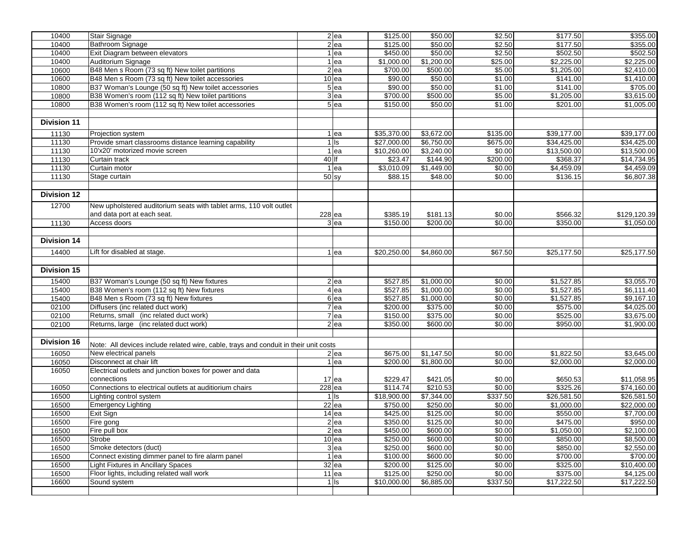|                    | <b>Stair Signage</b>                                                                 |         | 2 ea            | \$125.00    | \$50.00    | \$2.50   |                        | \$355.00     |
|--------------------|--------------------------------------------------------------------------------------|---------|-----------------|-------------|------------|----------|------------------------|--------------|
| 10400              |                                                                                      |         |                 |             |            |          | \$177.50               |              |
| 10400              | Bathroom Signage                                                                     |         | $2$ ea          | \$125.00    | \$50.00    | \$2.50   | \$177.50               | \$355.00     |
| 10400              | Exit Diagram between elevators                                                       |         | $1$ ea          | \$450.00    | \$50.00    | \$2.50   | \$502.50               | \$502.50     |
| 10400              | Auditorium Signage                                                                   |         | 1 ea            | \$1,000.00  | \$1,200.00 | \$25.00  | \$2,225.00             | \$2,225.00   |
| 10600              | B48 Men s Room (73 sq ft) New toilet partitions                                      |         | 2 ea            | \$700.00    | \$500.00   | \$5.00   | \$1,205.00             | \$2,410.00   |
| 10600              | B48 Men s Room (73 sq ft) New toilet accessories                                     |         | $10$ ea         | \$90.00     | \$50.00    | \$1.00   | \$141.00               | \$1,410.00   |
| 10800              | B37 Woman's Lounge (50 sq ft) New toilet accessories                                 |         | $5$ ea          | \$90.00     | \$50.00    | \$1.00   | \$141.00               | \$705.00     |
| 10800              | B38 Women's room (112 sq ft) New toilet partitions                                   |         | 3 ea            | \$700.00    | \$500.00   | \$5.00   | \$1,205.00             | \$3,615.00   |
| 10800              | B38 Women's room (112 sq ft) New toilet accessories                                  |         | 5 ea            | \$150.00    | \$50.00    | \$1.00   | \$201.00               | \$1,005.00   |
|                    |                                                                                      |         |                 |             |            |          |                        |              |
| <b>Division 11</b> |                                                                                      |         |                 |             |            |          |                        |              |
| 11130              | Projection system                                                                    |         | 1 ea            | \$35,370.00 | \$3,672.00 | \$135.00 | \$39,177.00            | \$39,177.00  |
| 11130              | Provide smart classrooms distance learning capability                                |         | $1$ Is          | \$27,000.00 | \$6,750.00 | \$675.00 | \$34,425.00            | \$34,425.00  |
| 11130              | 10'x20' motorized movie screen                                                       |         | 1 ea            | \$10,260.00 | \$3,240.00 | \$0.00   | \$13,500.00            | \$13,500.00  |
| 11130              | Curtain track                                                                        | 40 If   |                 | \$23.47     | \$144.90   | \$200.00 | \$368.37               | \$14,734.95  |
| 11130              | Curtain motor                                                                        |         | 1 ea            | \$3,010.09  | \$1,449.00 | \$0.00   | \$4,459.09             | \$4,459.09   |
| 11130              | Stage curtain                                                                        | $50$ sy |                 | \$88.15     | \$48.00    | \$0.00   | \$136.15               | \$6,807.38   |
|                    |                                                                                      |         |                 |             |            |          |                        |              |
|                    |                                                                                      |         |                 |             |            |          |                        |              |
| <b>Division 12</b> |                                                                                      |         |                 |             |            |          |                        |              |
| 12700              | New upholstered auditorium seats with tablet arms, 110 volt outlet                   |         |                 |             |            |          |                        |              |
|                    | and data port at each seat.                                                          | 228 ea  |                 | \$385.19    | \$181.13   | \$0.00   | \$566.32               | \$129,120.39 |
| 11130              | Access doors                                                                         |         | 3 <sub>ea</sub> | \$150.00    | \$200.00   | \$0.00   | \$350.00               | \$1,050.00   |
|                    |                                                                                      |         |                 |             |            |          |                        |              |
| <b>Division 14</b> |                                                                                      |         |                 |             |            |          |                        |              |
| 14400              |                                                                                      |         |                 |             |            |          |                        | \$25,177.50  |
|                    | Lift for disabled at stage.                                                          |         | 1 ea            | \$20,250.00 | \$4,860.00 | \$67.50  | \$25,177.50            |              |
|                    |                                                                                      |         |                 |             |            |          |                        |              |
| <b>Division 15</b> |                                                                                      |         |                 |             |            |          |                        |              |
| 15400              | B37 Woman's Lounge (50 sq ft) New fixtures                                           |         | 2 ea            | \$527.85    | \$1,000.00 | \$0.00   | \$1,527.85             | \$3,055.70   |
| 15400              | B38 Women's room (112 sq ft) New fixtures                                            |         | 4 ea            | \$527.85    | \$1,000.00 | \$0.00   | \$1,527.85             | \$6,111.40   |
| 15400              | B48 Men s Room (73 sq ft) New fixtures                                               |         | 6 <sub>ea</sub> | \$527.85    | \$1,000.00 | \$0.00   | \$1,527.85             | \$9,167.10   |
| 02100              | Diffusers (inc related duct work)                                                    |         | 7 ea            | \$200.00    | \$375.00   | \$0.00   | \$575.00               | \$4,025.00   |
| 02100              | Returns, small (inc related duct work)                                               |         | 7 ea            | \$150.00    | \$375.00   | \$0.00   | \$525.00               | \$3,675.00   |
| 02100              | Returns, large (inc related duct work)                                               |         | 2 ea            | \$350.00    | \$600.00   | \$0.00   | \$950.00               | \$1,900.00   |
|                    |                                                                                      |         |                 |             |            |          |                        |              |
| <b>Division 16</b> |                                                                                      |         |                 |             |            |          |                        |              |
|                    | Note: All devices include related wire, cable, trays and conduit in their unit costs |         |                 |             |            |          |                        |              |
| 16050              | New electrical panels                                                                |         | $2$ ea          | \$675.00    | \$1,147.50 | \$0.00   | \$1,822.50             | \$3,645.00   |
| 16050              | Disconnect at chair lift                                                             |         | 1 ea            | \$200.00    | \$1,800.00 | \$0.00   | \$2,000.00             | \$2,000.00   |
| 16050              | Electrical outlets and junction boxes for power and data                             |         |                 |             |            |          |                        |              |
|                    | connections                                                                          |         | $17$ ea         | \$229.47    | \$421.05   | \$0.00   | \$650.53               | \$11,058.95  |
| 16050              | Connections to electrical outlets at auditiorium chairs                              | 228 ea  |                 | \$114.74    | \$210.53   | \$0.00   | \$325.26               | \$74,160.00  |
| 16500              | Lighting control system                                                              |         | $1$ Is          | \$18,900.00 | \$7,344.00 | \$337.50 | \$26,581.50            | \$26,581.50  |
| 16500              | <b>Emergency Lighting</b>                                                            |         | $22$ ea         | \$750.00    | \$250.00   | \$0.00   | \$1,000.00             | \$22,000.00  |
| 16500              | Exit Sign                                                                            |         | $14$ ea         | \$425.00    | \$125.00   | \$0.00   | \$550.00               | \$7,700.00   |
| 16500              | Fire gong                                                                            |         | $2$ ea          | \$350.00    | \$125.00   | \$0.00   | \$475.00               | \$950.00     |
| 16500              | Fire pull box                                                                        |         | $2$ ea          | \$450.00    | \$600.00   | \$0.00   | $\overline{$1,050.00}$ | \$2,100.00   |
| 16500              | Strobe                                                                               |         | $10$ ea         | \$250.00    | \$600.00   | \$0.00   | \$850.00               | \$8,500.00   |
| 16500              | Smoke detectors (duct)                                                               |         | 3 <sub>ea</sub> | \$250.00    | \$600.00   | \$0.00   | \$850.00               | \$2,550.00   |
| 16500              | Connect existing dimmer panel to fire alarm panel                                    |         | $1$ ea          | \$100.00    | \$600.00   | \$0.00   | \$700.00               | \$700.00     |
| 16500              | <b>Light Fixtures in Ancillary Spaces</b>                                            |         | $32$ ea         | \$200.00    | \$125.00   | \$0.00   | \$325.00               | \$10,400.00  |
| 16500              | Floor lights, including related wall work                                            |         | $11$ ea         | \$125.00    | \$250.00   | \$0.00   | \$375.00               | \$4,125.00   |
| 16600              | Sound system                                                                         |         | 1 <sub>ls</sub> | \$10,000.00 | \$6,885.00 | \$337.50 | \$17,222.50            | \$17,222.50  |
|                    |                                                                                      |         |                 |             |            |          |                        |              |
|                    |                                                                                      |         |                 |             |            |          |                        |              |